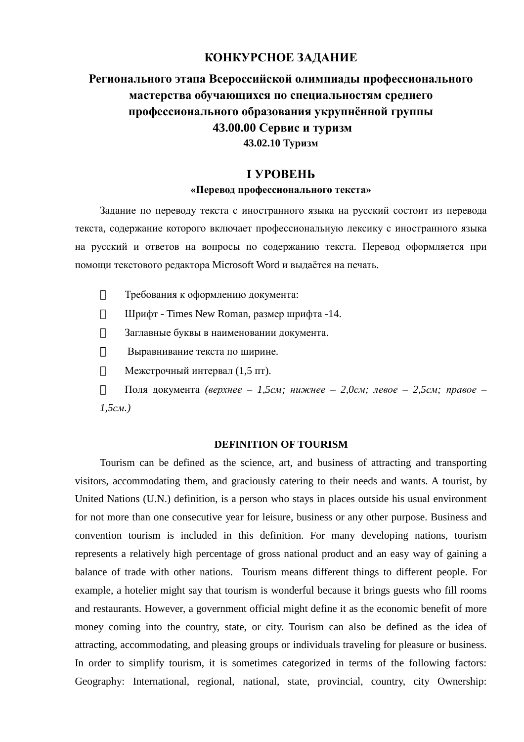### **КОНКУРСНОЕ ЗАДАНИЕ**

# **Регионального этапа Всероссийской олимпиады профессионального мастерства обучающихся по специальностям среднего профессионального образования укрупнённой группы 43.00.00 Сервис и туризм 43.02.10 Туризм**

## **I УРОВЕНЬ «Перевод профессионального текста»**

Задание по переводу текста с иностранного языка на русский состоит из перевода текста, содержание которого включает профессиональную лексику с иностранного языка на русский и ответов на вопросы по содержанию текста. Перевод оформляется при помощи текстового редактора Microsoft Word и выдаётся на печать.

- $\frac{3}{4}$ Требования к оформлению документа:
- $\frac{3}{4}$ Шрифт - Times New Roman, размер шрифта -14.
- $\frac{3}{4}$ Заглавные буквы в наименовании документа.
- $\frac{3}{4}$ Выравнивание текста по ширине.
- $\frac{3}{4}$ Межстрочный интервал (1,5 пт).
- $\frac{3}{4}$ Поля документа *(верхнее – 1,5см; нижнее – 2,0см; левое – 2,5см; правое – 1,5см.)*

#### **DEFINITION OF TOURISM**

Tourism can be defined as the science, art, and business of attracting and transporting visitors, accommodating them, and graciously catering to their needs and wants. A tourist, by United Nations (U.N.) definition, is a person who stays in places outside his usual environment for not more than one consecutive year for leisure, business or any other purpose. Business and convention tourism is included in this definition. For many developing nations, tourism represents a relatively high percentage of gross national product and an easy way of gaining a balance of trade with other nations. Tourism means different things to different people. For example, a hotelier might say that tourism is wonderful because it brings guests who fill rooms and restaurants. However, a government official might define it as the economic benefit of more money coming into the country, state, or city. Tourism can also be defined as the idea of attracting, accommodating, and pleasing groups or individuals traveling for pleasure or business. In order to simplify tourism, it is sometimes categorized in terms of the following factors: Geography: International, regional, national, state, provincial, country, city Ownership: